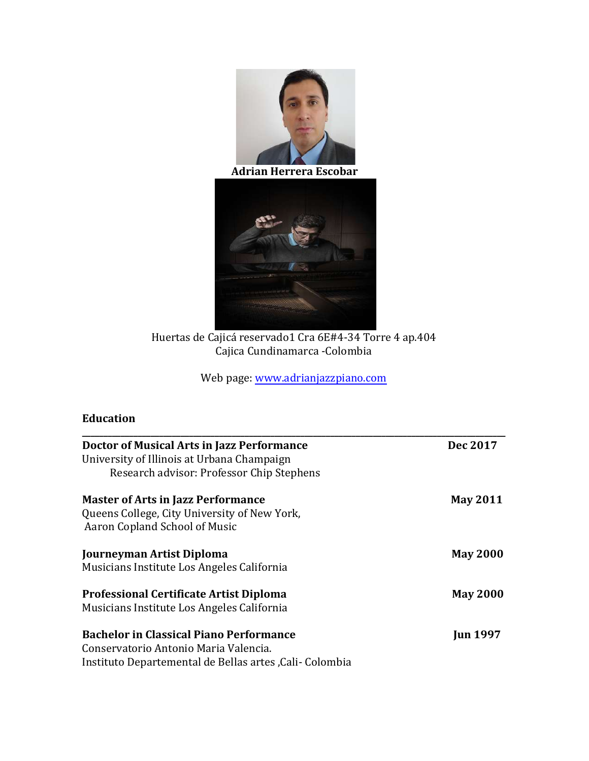

**Adrian Herrera Escobar**



Huertas de Cajicá reservado1 Cra 6E#4-34 Torre 4 ap.404 Cajica Cundinamarca - Colombia

Web page: www.adrianjazzpiano.com

# **Education**

| Doctor of Musical Arts in Jazz Performance               | Dec 2017        |
|----------------------------------------------------------|-----------------|
| University of Illinois at Urbana Champaign               |                 |
| Research advisor: Professor Chip Stephens                |                 |
| <b>Master of Arts in Jazz Performance</b>                | <b>May 2011</b> |
| Queens College, City University of New York,             |                 |
| Aaron Copland School of Music                            |                 |
| Journeyman Artist Diploma                                | <b>May 2000</b> |
| Musicians Institute Los Angeles California               |                 |
| <b>Professional Certificate Artist Diploma</b>           | <b>May 2000</b> |
| Musicians Institute Los Angeles California               |                 |
| <b>Bachelor in Classical Piano Performance</b>           | <b>Jun 1997</b> |
| Conservatorio Antonio Maria Valencia.                    |                 |
| Instituto Departemental de Bellas artes , Cali- Colombia |                 |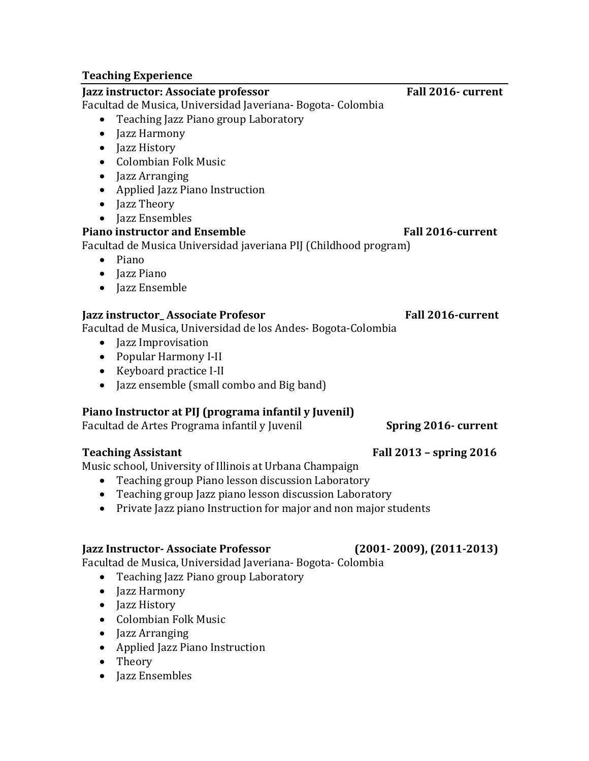## **Teaching Experience**

# **Jazz instructor: Associate professor Fall 2016- current** Facultad de Musica, Universidad Javeriana- Bogota- Colombia • Teaching Jazz Piano group Laboratory • Jazz Harmony • Jazz History • Colombian Folk Music

- Jazz Arranging
- Applied Jazz Piano Instruction
- Jazz Theory
- **Jazz Ensembles**

## **Piano instructor and Ensemble Fall 2016-current**

Facultad de Musica Universidad javeriana PIJ (Childhood program)

- Piano
- **Jazz Piano**
- **Jazz Ensemble**

## **Jazz instructor\_ Associate Profesor Fall 2016-current**

Facultad de Musica, Universidad de los Andes- Bogota-Colombia

- Jazz Improvisation
- Popular Harmony I-II
- Keyboard practice I-II
- Jazz ensemble (small combo and Big band)

## Piano Instructor at PIJ (programa infantil y Juvenil)

Facultad de Artes Programa infantil y Juvenil **Spring 2016-** current

### Teaching Assistant *Networks* **COVID** *COVID* **COVID** *COVID* **COVID** *COVID* **COVID** *COVID COVID COVID COVID COVID COVID COVID COVID COVID COVID COVID COVID COVID*

Music school, University of Illinois at Urbana Champaign

- Teaching group Piano lesson discussion Laboratory
- Teaching group Jazz piano lesson discussion Laboratory
- Private Jazz piano Instruction for major and non major students

### **Jazz Instructor- Associate Professor (2001- 2009), (2011-2013)**

Facultad de Musica, Universidad Javeriana- Bogota- Colombia

- Teaching Jazz Piano group Laboratory
- Jazz Harmony
- Jazz History
- Colombian Folk Music
- Jazz Arranging
- Applied Jazz Piano Instruction
- Theory
- Jazz Ensembles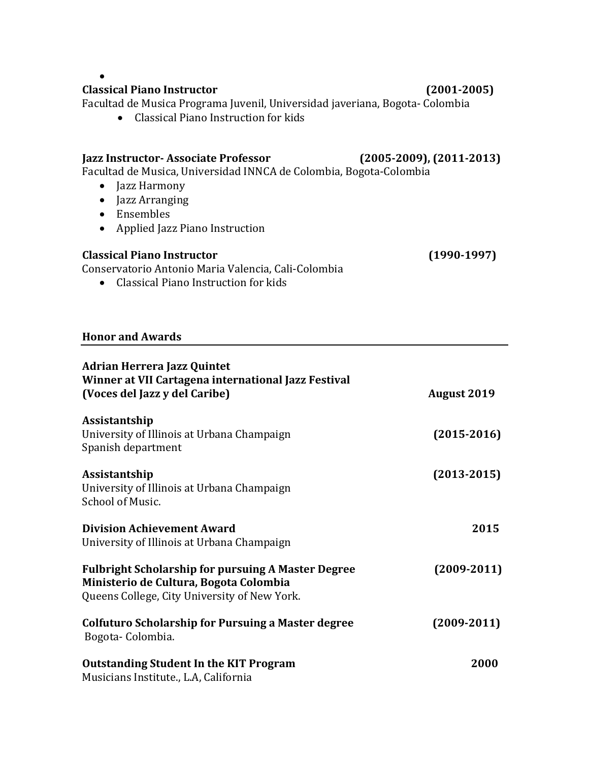| Jazz Instructor- Associate Professor<br>Facultad de Musica, Universidad INNCA de Colombia, Bogota-Colombia                                          | $(2005-2009)$ , $(2011-2013)$ |
|-----------------------------------------------------------------------------------------------------------------------------------------------------|-------------------------------|
| Jazz Harmony<br>$\bullet$<br>Jazz Arranging<br>$\bullet$<br>• Ensembles                                                                             |                               |
| Applied Jazz Piano Instruction<br>$\bullet$                                                                                                         |                               |
| <b>Classical Piano Instructor</b><br>Conservatorio Antonio Maria Valencia, Cali-Colombia<br>Classical Piano Instruction for kids<br>$\bullet$       | $(1990-1997)$                 |
| <b>Honor and Awards</b>                                                                                                                             |                               |
| <b>Adrian Herrera Jazz Quintet</b><br>Winner at VII Cartagena international Jazz Festival<br>(Voces del Jazz y del Caribe)                          | <b>August 2019</b>            |
| Assistantship<br>University of Illinois at Urbana Champaign<br>Spanish department                                                                   | $(2015-2016)$                 |
| Assistantship<br>University of Illinois at Urbana Champaign<br>School of Music.                                                                     | $(2013 - 2015)$               |
| <b>Division Achievement Award</b><br>University of Illinois at Urbana Champaign                                                                     | 2015                          |
| <b>Fulbright Scholarship for pursuing A Master Degree</b><br>Ministerio de Cultura, Bogota Colombia<br>Queens College, City University of New York. | $(2009 - 2011)$               |

# **Colfuturo Scholarship for Pursuing a Master degree** (2009-2011) Bogota- Colombia.

**Outstanding Student In the KIT Program** *COOO* Musicians Institute., L.A, California

•

### **Classical Piano Instructor (2001-2005)**

Facultad de Musica Programa Juvenil, Universidad javeriana, Bogota- Colombia

 $\bullet$  Classical Piano Instruction for kids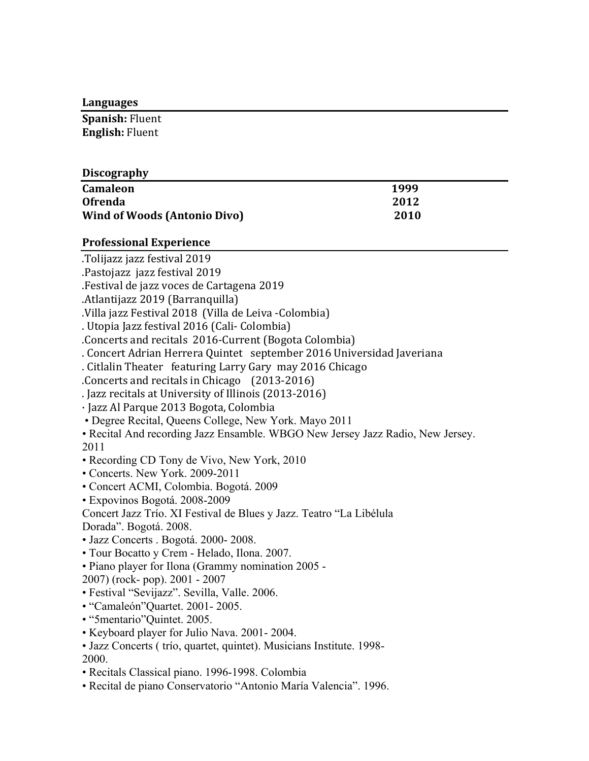#### **Languages**

**Spanish: Fluent English:** Fluent

#### **Discography**

| <b>Camaleon</b>                     | 1999 |
|-------------------------------------|------|
| <b>Ofrenda</b>                      | 2012 |
| <b>Wind of Woods (Antonio Divo)</b> | 2010 |

#### **Professional Experience**

.Tolijazz jazz festival 2019

.Pastojazz jazz festival 2019

.Festival de jazz voces de Cartagena 2019

.Atlantijazz 2019 (Barranquilla)

.Villa jazz Festival 2018 (Villa de Leiva -Colombia)

. Utopia Jazz festival 2016 (Cali- Colombia)

.Concerts and recitals 2016-Current (Bogota Colombia)

. Concert Adrian Herrera Quintet september 2016 Universidad Javeriana

. Citlalin Theater featuring Larry Gary may 2016 Chicago

.Concerts and recitals in Chicago (2013-2016)

. Jazz recitals at University of Illinois (2013-2016)

· Jazz Al Parque 2013 Bogota, Colombia

• Degree Recital, Queens College, New York. Mayo 2011

• Recital And recording Jazz Ensamble. WBGO New Jersey Jazz Radio, New Jersey. 2011

• Recording CD Tony de Vivo, New York, 2010

- Concerts. New York. 2009-2011
- Concert ACMI, Colombia. Bogotá. 2009
- Expovinos Bogotá. 2008-2009

Concert Jazz Trío. XI Festival de Blues y Jazz. Teatro "La Libélula

Dorada". Bogotá. 2008.

- Jazz Concerts . Bogotá. 2000- 2008.
- Tour Bocatto y Crem Helado, Ilona. 2007.
- Piano player for Ilona (Grammy nomination 2005 -

2007) (rock- pop). 2001 - 2007

- Festival "Sevijazz". Sevilla, Valle. 2006.
- "Camaleón"Quartet. 2001- 2005.
- "5mentario"Quintet. 2005.
- Keyboard player for Julio Nava. 2001- 2004.

• Jazz Concerts ( trío, quartet, quintet). Musicians Institute. 1998- 2000.

• Recitals Classical piano. 1996-1998. Colombia

• Recital de piano Conservatorio "Antonio María Valencia". 1996.